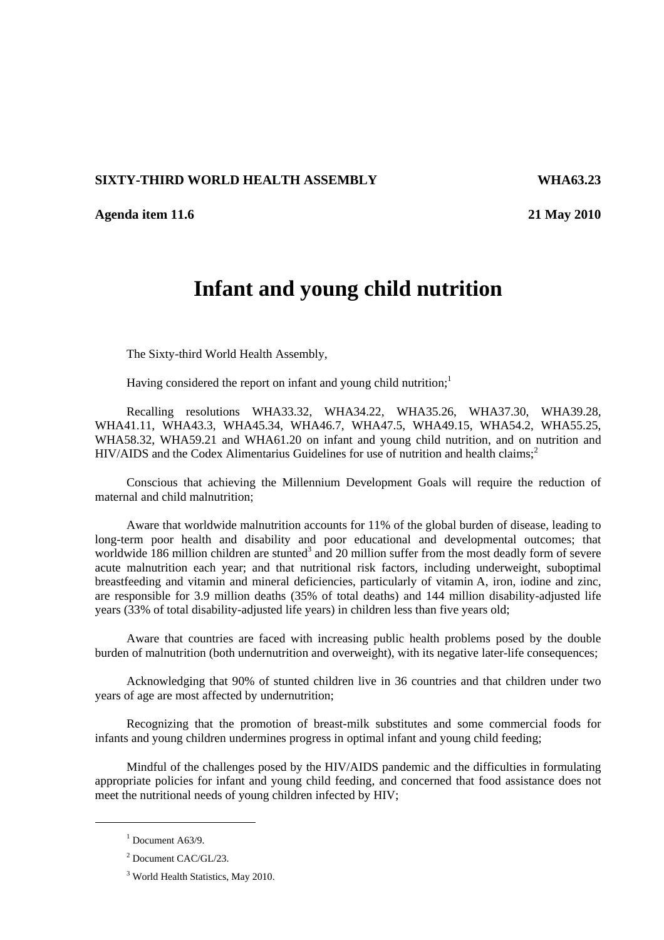## **SIXTY-THIRD WORLD HEALTH ASSEMBLY WHA63.23**

**Agenda item 11.6 21 May 2010** 

## **Infant and young child nutrition**

The Sixty-third World Health Assembly,

Having considered the report on infant and young child nutrition;<sup>1</sup>

Recalling resolutions WHA33.32, WHA34.22, WHA35.26, WHA37.30, WHA39.28, WHA41.11, WHA43.3, WHA45.34, WHA46.7, WHA47.5, WHA49.15, WHA54.2, WHA55.25, WHA58.32, WHA59.21 and WHA61.20 on infant and young child nutrition, and on nutrition and  $HIV/ALDS$  and the Codex Alimentarius Guidelines for use of nutrition and health claims;<sup>2</sup>

Conscious that achieving the Millennium Development Goals will require the reduction of maternal and child malnutrition;

Aware that worldwide malnutrition accounts for 11% of the global burden of disease, leading to long-term poor health and disability and poor educational and developmental outcomes; that worldwide 186 million children are stunted<sup>3</sup> and 20 million suffer from the most deadly form of severe acute malnutrition each year; and that nutritional risk factors, including underweight, suboptimal breastfeeding and vitamin and mineral deficiencies, particularly of vitamin A, iron, iodine and zinc, are responsible for 3.9 million deaths (35% of total deaths) and 144 million disability-adjusted life years (33% of total disability-adjusted life years) in children less than five years old;

Aware that countries are faced with increasing public health problems posed by the double burden of malnutrition (both undernutrition and overweight), with its negative later-life consequences;

Acknowledging that 90% of stunted children live in 36 countries and that children under two years of age are most affected by undernutrition;

Recognizing that the promotion of breast-milk substitutes and some commercial foods for infants and young children undermines progress in optimal infant and young child feeding;

Mindful of the challenges posed by the HIV/AIDS pandemic and the difficulties in formulating appropriate policies for infant and young child feeding, and concerned that food assistance does not meet the nutritional needs of young children infected by HIV;

 $\overline{a}$ 

 $<sup>1</sup>$  Document A63/9.</sup>

<sup>2</sup> Document CAC/GL/23.

<sup>&</sup>lt;sup>3</sup> World Health Statistics, May 2010.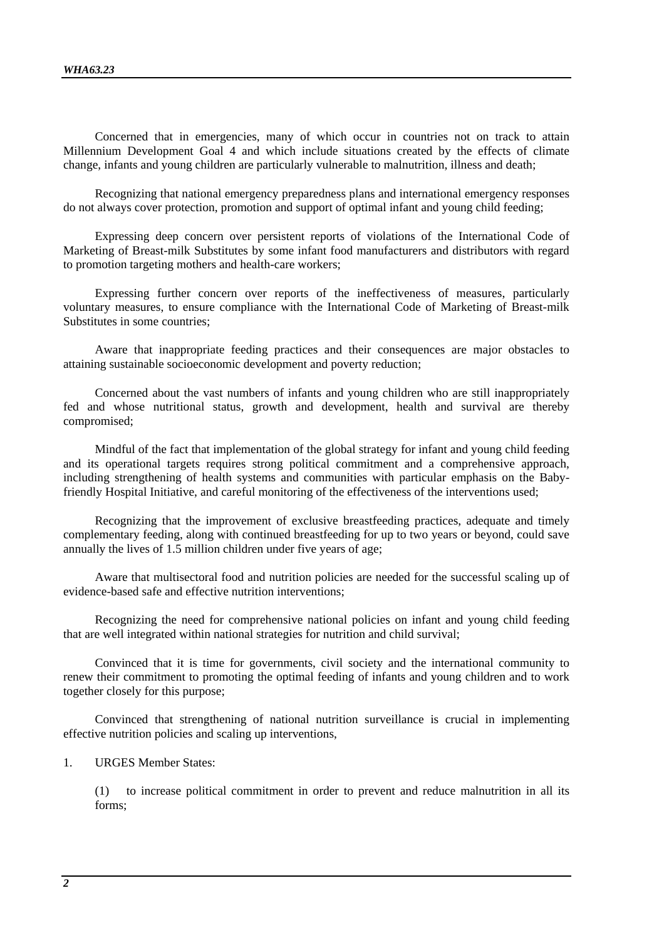Concerned that in emergencies, many of which occur in countries not on track to attain Millennium Development Goal 4 and which include situations created by the effects of climate change, infants and young children are particularly vulnerable to malnutrition, illness and death;

Recognizing that national emergency preparedness plans and international emergency responses do not always cover protection, promotion and support of optimal infant and young child feeding;

Expressing deep concern over persistent reports of violations of the International Code of Marketing of Breast-milk Substitutes by some infant food manufacturers and distributors with regard to promotion targeting mothers and health-care workers;

Expressing further concern over reports of the ineffectiveness of measures, particularly voluntary measures, to ensure compliance with the International Code of Marketing of Breast-milk Substitutes in some countries;

Aware that inappropriate feeding practices and their consequences are major obstacles to attaining sustainable socioeconomic development and poverty reduction;

Concerned about the vast numbers of infants and young children who are still inappropriately fed and whose nutritional status, growth and development, health and survival are thereby compromised;

Mindful of the fact that implementation of the global strategy for infant and young child feeding and its operational targets requires strong political commitment and a comprehensive approach, including strengthening of health systems and communities with particular emphasis on the Babyfriendly Hospital Initiative, and careful monitoring of the effectiveness of the interventions used;

Recognizing that the improvement of exclusive breastfeeding practices, adequate and timely complementary feeding, along with continued breastfeeding for up to two years or beyond, could save annually the lives of 1.5 million children under five years of age;

Aware that multisectoral food and nutrition policies are needed for the successful scaling up of evidence-based safe and effective nutrition interventions;

Recognizing the need for comprehensive national policies on infant and young child feeding that are well integrated within national strategies for nutrition and child survival;

Convinced that it is time for governments, civil society and the international community to renew their commitment to promoting the optimal feeding of infants and young children and to work together closely for this purpose;

Convinced that strengthening of national nutrition surveillance is crucial in implementing effective nutrition policies and scaling up interventions,

1. URGES Member States:

(1) to increase political commitment in order to prevent and reduce malnutrition in all its forms;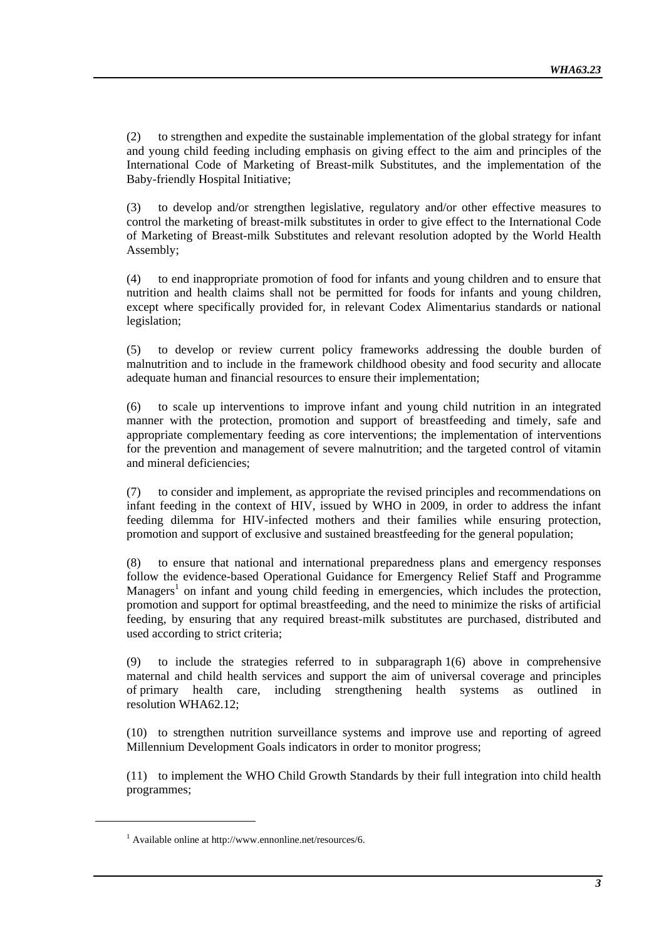(2) to strengthen and expedite the sustainable implementation of the global strategy for infant and young child feeding including emphasis on giving effect to the aim and principles of the International Code of Marketing of Breast-milk Substitutes, and the implementation of the Baby-friendly Hospital Initiative;

(3) to develop and/or strengthen legislative, regulatory and/or other effective measures to control the marketing of breast-milk substitutes in order to give effect to the International Code of Marketing of Breast-milk Substitutes and relevant resolution adopted by the World Health Assembly;

(4) to end inappropriate promotion of food for infants and young children and to ensure that nutrition and health claims shall not be permitted for foods for infants and young children, except where specifically provided for, in relevant Codex Alimentarius standards or national legislation;

(5) to develop or review current policy frameworks addressing the double burden of malnutrition and to include in the framework childhood obesity and food security and allocate adequate human and financial resources to ensure their implementation;

(6) to scale up interventions to improve infant and young child nutrition in an integrated manner with the protection, promotion and support of breastfeeding and timely, safe and appropriate complementary feeding as core interventions; the implementation of interventions for the prevention and management of severe malnutrition; and the targeted control of vitamin and mineral deficiencies;

(7) to consider and implement, as appropriate the revised principles and recommendations on infant feeding in the context of HIV, issued by WHO in 2009, in order to address the infant feeding dilemma for HIV-infected mothers and their families while ensuring protection, promotion and support of exclusive and sustained breastfeeding for the general population;

(8) to ensure that national and international preparedness plans and emergency responses follow the evidence-based Operational Guidance for Emergency Relief Staff and Programme Managers<sup>1</sup> on infant and young child feeding in emergencies, which includes the protection, promotion and support for optimal breastfeeding, and the need to minimize the risks of artificial feeding, by ensuring that any required breast-milk substitutes are purchased, distributed and used according to strict criteria;

(9) to include the strategies referred to in subparagraph 1(6) above in comprehensive maternal and child health services and support the aim of universal coverage and principles of primary health care, including strengthening health systems as outlined in resolution WHA62.12;

(10) to strengthen nutrition surveillance systems and improve use and reporting of agreed Millennium Development Goals indicators in order to monitor progress;

(11) to implement the WHO Child Growth Standards by their full integration into child health programmes;

<sup>&</sup>lt;sup>1</sup> Available online at http://www.ennonline.net/resources/6.